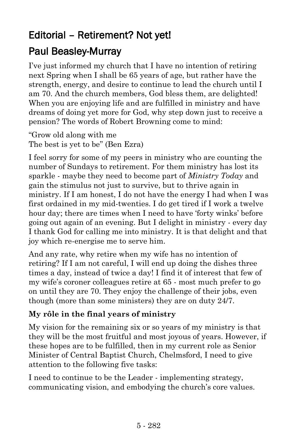# Editorial – Retirement? Not yet!

## Paul Beasley-Murray

I've just informed my church that I have no intention of retiring next Spring when I shall be 65 years of age, but rather have the strength, energy, and desire to continue to lead the church until I am 70. And the church members, God bless them, are delighted! When you are enjoying life and are fulfilled in ministry and have dreams of doing yet more for God, why step down just to receive a pension? The words of Robert Browning come to mind:

"Grow old along with me The best is yet to be" (Ben Ezra)

I feel sorry for some of my peers in ministry who are counting the number of Sundays to retirement. For them ministry has lost its sparkle - maybe they need to become part of *Ministry Today* and gain the stimulus not just to survive, but to thrive again in ministry. If I am honest, I do not have the energy I had when I was first ordained in my mid-twenties. I do get tired if I work a twelve hour day; there are times when I need to have 'forty winks' before going out again of an evening. But I delight in ministry - every day I thank God for calling me into ministry. It is that delight and that joy which re-energise me to serve him.

And any rate, why retire when my wife has no intention of retiring? If I am not careful, I will end up doing the dishes three times a day, instead of twice a day! I find it of interest that few of my wife's coroner colleagues retire at 65 - most much prefer to go on until they are 70. They enjoy the challenge of their jobs, even though (more than some ministers) they are on duty 24/7.

### **My rôle in the final years of ministry**

My vision for the remaining six or so years of my ministry is that they will be the most fruitful and most joyous of years. However, if these hopes are to be fulfilled, then in my current role as Senior Minister of Central Baptist Church, Chelmsford, I need to give attention to the following five tasks:

I need to continue to be the Leader - implementing strategy, communicating vision, and embodying the church's core values.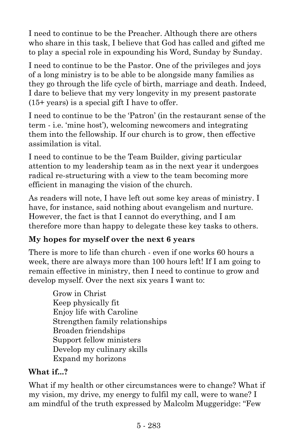I need to continue to be the Preacher. Although there are others who share in this task, I believe that God has called and gifted me to play a special role in expounding his Word, Sunday by Sunday.

I need to continue to be the Pastor. One of the privileges and joys of a long ministry is to be able to be alongside many families as they go through the life cycle of birth, marriage and death. Indeed, I dare to believe that my very longevity in my present pastorate (15+ years) is a special gift I have to offer.

I need to continue to be the 'Patron' (in the restaurant sense of the term - i.e. 'mine host'), welcoming newcomers and integrating them into the fellowship. If our church is to grow, then effective assimilation is vital.

I need to continue to be the Team Builder, giving particular attention to my leadership team as in the next year it undergoes radical re-structuring with a view to the team becoming more efficient in managing the vision of the church.

As readers will note, I have left out some key areas of ministry. I have, for instance, said nothing about evangelism and nurture. However, the fact is that I cannot do everything, and I am therefore more than happy to delegate these key tasks to others.

### **My hopes for myself over the next 6 years**

There is more to life than church - even if one works 60 hours a week, there are always more than 100 hours left! If I am going to remain effective in ministry, then I need to continue to grow and develop myself. Over the next six years I want to:

> Grow in Christ Keep physically fit Enjoy life with Caroline Strengthen family relationships Broaden friendships Support fellow ministers Develop my culinary skills Expand my horizons

#### **What if...?**

What if my health or other circumstances were to change? What if my vision, my drive, my energy to fulfil my call, were to wane? I am mindful of the truth expressed by Malcolm Muggeridge: "Few